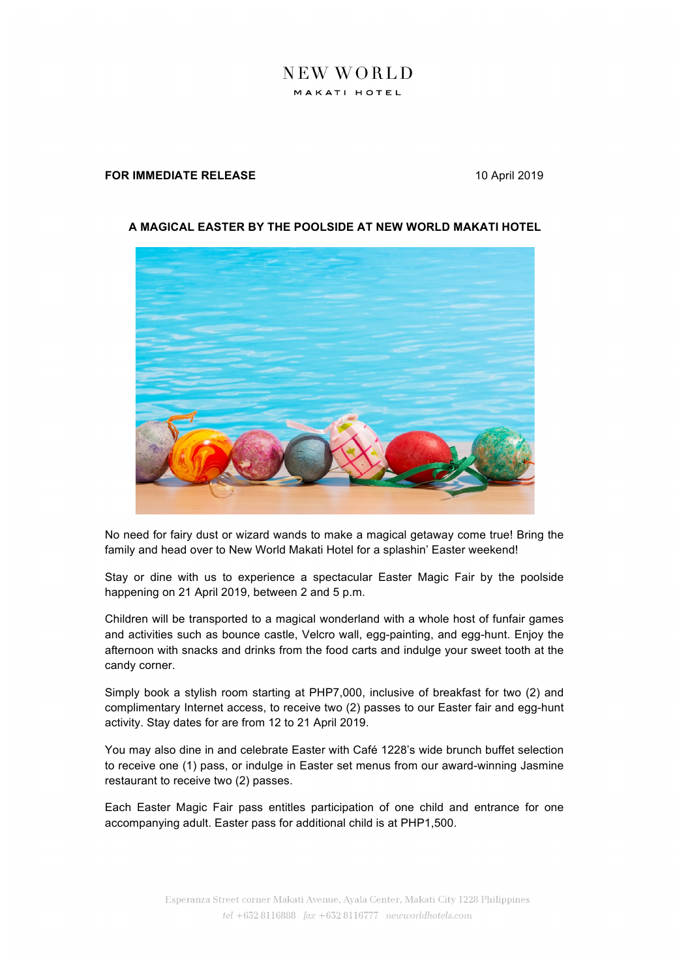## NEW WORLD MAKATI HOTEL

## **FOR IMMEDIATE RELEASE** 10 April 2019



## **A MAGICAL EASTER BY THE POOLSIDE AT NEW WORLD MAKATI HOTEL**

No need for fairy dust or wizard wands to make a magical getaway come true! Bring the family and head over to New World Makati Hotel for a splashin' Easter weekend!

Stay or dine with us to experience a spectacular Easter Magic Fair by the poolside happening on 21 April 2019, between 2 and 5 p.m.

Children will be transported to a magical wonderland with a whole host of funfair games and activities such as bounce castle, Velcro wall, egg-painting, and egg-hunt. Enjoy the afternoon with snacks and drinks from the food carts and indulge your sweet tooth at the candy corner.

Simply book a stylish room starting at PHP7,000, inclusive of breakfast for two (2) and complimentary Internet access, to receive two (2) passes to our Easter fair and egg-hunt activity. Stay dates for are from 12 to 21 April 2019.

You may also dine in and celebrate Easter with Café 1228's wide brunch buffet selection to receive one (1) pass, or indulge in Easter set menus from our award-winning Jasmine restaurant to receive two (2) passes.

Each Easter Magic Fair pass entitles participation of one child and entrance for one accompanying adult. Easter pass for additional child is at PHP1,500.